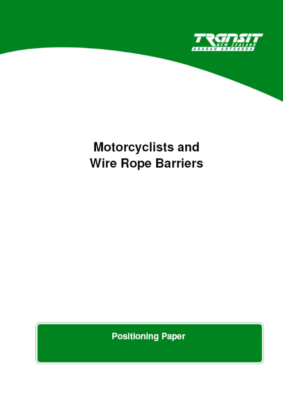

# Motorcyclists and **Wire Rope Barriers**

**Positioning Paper**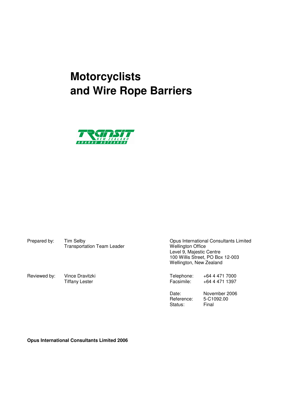# **Motorcyclists and Wire Rope Barriers**



Prepared by: Tim Selby Transportation Team Leader Consultants Consultants Limited<br>Transportation Team Leader Transportation Team Leader Wellington Office Transportation Team Leader

 Level 9, Majestic Centre 100 Willis Street, PO Box 12-003 Wellington, New Zealand

Reviewed by: Vince Dravitzki **National Control Control Control Control Control Control Control Control Control**<br>Tiffany Lester **Telephone:** +64 4 471 1397 +64 4 471 1397

Status: Final

 Date: November 2006 Reference: 5-C1092.00<br>Status: Final

**Opus International Consultants Limited 2006**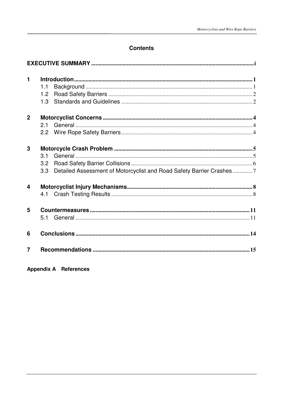# **Contents**

| $\mathbf{1}$            |                  | $\label{lem:1} \textbf{Introduction}\textcolor{black}{}\textcolor{black}{}\textcolor{black}{}\textcolor{black}{}\textcolor{black}{}\textcolor{black}{}\textcolor{black}{}\textcolor{black}{}\textcolor{black}{}\textcolor{black}{}\textcolor{black}{}\textcolor{black}{}\textcolor{black}{}\textcolor{black}{}\textcolor{black}{}\textcolor{black}{}\textcolor{black}{}\textcolor{black}{}\textcolor{black}{}\textcolor{black}{}\textcolor{black}{}\textcolor{black}{}\textcolor{black}{}\textcolor{black}{}\textcolor{black}{}\textcolor{black}{}\textcolor{black}{}\textcolor{black}{}\textcolor{black}{}\textcolor$ |  |
|-------------------------|------------------|------------------------------------------------------------------------------------------------------------------------------------------------------------------------------------------------------------------------------------------------------------------------------------------------------------------------------------------------------------------------------------------------------------------------------------------------------------------------------------------------------------------------------------------------------------------------------------------------------------------------|--|
|                         | 1.1              |                                                                                                                                                                                                                                                                                                                                                                                                                                                                                                                                                                                                                        |  |
|                         | 1.2              |                                                                                                                                                                                                                                                                                                                                                                                                                                                                                                                                                                                                                        |  |
|                         | 1.3              |                                                                                                                                                                                                                                                                                                                                                                                                                                                                                                                                                                                                                        |  |
| $\overline{2}$          |                  |                                                                                                                                                                                                                                                                                                                                                                                                                                                                                                                                                                                                                        |  |
|                         | 2.1              |                                                                                                                                                                                                                                                                                                                                                                                                                                                                                                                                                                                                                        |  |
|                         |                  |                                                                                                                                                                                                                                                                                                                                                                                                                                                                                                                                                                                                                        |  |
| 3                       |                  |                                                                                                                                                                                                                                                                                                                                                                                                                                                                                                                                                                                                                        |  |
|                         | 3.1              |                                                                                                                                                                                                                                                                                                                                                                                                                                                                                                                                                                                                                        |  |
|                         | 3.2              |                                                                                                                                                                                                                                                                                                                                                                                                                                                                                                                                                                                                                        |  |
|                         | 3.3 <sub>2</sub> | Detailed Assessment of Motorcyclist and Road Safety Barrier Crashes7                                                                                                                                                                                                                                                                                                                                                                                                                                                                                                                                                   |  |
| $\overline{\mathbf{4}}$ |                  |                                                                                                                                                                                                                                                                                                                                                                                                                                                                                                                                                                                                                        |  |
|                         |                  |                                                                                                                                                                                                                                                                                                                                                                                                                                                                                                                                                                                                                        |  |
| 5                       |                  |                                                                                                                                                                                                                                                                                                                                                                                                                                                                                                                                                                                                                        |  |
|                         |                  |                                                                                                                                                                                                                                                                                                                                                                                                                                                                                                                                                                                                                        |  |
| 6                       |                  |                                                                                                                                                                                                                                                                                                                                                                                                                                                                                                                                                                                                                        |  |
| $\overline{7}$          |                  |                                                                                                                                                                                                                                                                                                                                                                                                                                                                                                                                                                                                                        |  |

**Appendix A References**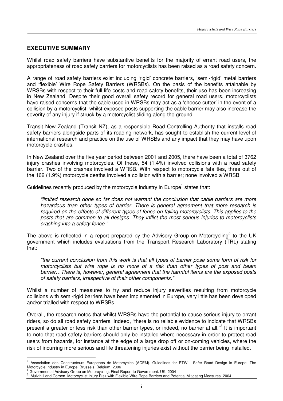# **EXECUTIVE SUMMARY**

Whilst road safety barriers have substantive benefits for the majority of errant road users, the appropriateness of road safety barriers for motorcyclists has been raised as a road safety concern.

A range of road safety barriers exist including 'rigid' concrete barriers, 'semi-rigid' metal barriers and 'flexible' Wire Rope Safety Barriers (WRSBs). On the basis of the benefits attainable by WRSBs with respect to their full life costs and road safety benefits, their use has been increasing in New Zealand. Despite their good overall safety record for general road users, motorcyclists have raised concerns that the cable used in WRSBs may act as a 'cheese cutter' in the event of a collision by a motorcyclist, whilst exposed posts supporting the cable barrier may also increase the severity of any injury if struck by a motorcyclist sliding along the ground.

Transit New Zealand (Transit NZ), as a responsible Road Controlling Authority that installs road safety barriers alongside parts of its roading network, has sought to establish the current level of international research and practice on the use of WRSBs and any impact that they may have upon motorcycle crashes.

In New Zealand over the five year period between 2001 and 2005, there have been a total of 3762 injury crashes involving motorcycles. Of these, 54 (1.4%) involved collisions with a road safety barrier. Two of the crashes involved a WRSB. With respect to motorcycle fatalities, three out of the 162 (1.9%) motorcycle deaths involved a collision with a barrier; none involved a WRSB.

Guidelines recently produced by the motorcycle industry in Europe<sup>1</sup> states that:

"limited research done so far does not warrant the conclusion that cable barriers are more hazardous than other types of barrier. There is general agreement that more research is required on the effects of different types of fence on falling motorcyclists. This applies to the posts that are common to all designs. They inflict the most serious injuries to motorcyclists crashing into a safety fence."

The above is reflected in a report prepared by the Advisory Group on Motorcycling<sup>2</sup> to the UK government which includes evaluations from the Transport Research Laboratory (TRL) stating that:

"the current conclusion from this work is that all types of barrier pose some form of risk for motorcyclists but wire rope is no more of a risk than other types of post and beam barrier…There is, however, general agreement that the harmful items are the exposed posts of safety barriers, irrespective of their other components."

Whilst a number of measures to try and reduce injury severities resulting from motorcycle collisions with semi-rigid barriers have been implemented in Europe, very little has been developed and/or trialled with respect to WRSBs.

Overall, the research notes that whilst WRSBs have the potential to cause serious injury to errant riders, so do all road safety barriers. Indeed, "there is no reliable evidence to indicate that WRSBs present a greater or less risk than other barrier types, or indeed, no barrier at all."<sup>3</sup> It is important to note that road safety barriers should only be installed where necessary in order to protect road users from hazards, for instance at the edge of a large drop off or on-coming vehicles, where the risk of incurring more serious and life threatening injuries exist without the barrier being installed.

<sup>1</sup> Association des Constructeurs Europeans de Motorcycles (ACEM). Guidelines for PTW - Safer Road Design in Europe. The Motorcycle Industry in Europe. Brussels, Belgium. 2006 2

Governmental Advisory Group on Motorcycling. Final Report to Government. UK. 2004

<sup>&</sup>lt;sup>3</sup> Mulvihill and Corben. Motorcyclist Injury Risk with Flexible Wire Rope Barriers and Potential Mitigating Measures. 2004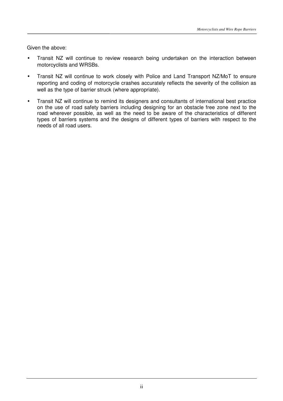Given the above:

- Transit NZ will continue to review research being undertaken on the interaction between motorcyclists and WRSBs.
- Transit NZ will continue to work closely with Police and Land Transport NZ/MoT to ensure reporting and coding of motorcycle crashes accurately reflects the severity of the collision as well as the type of barrier struck (where appropriate).
- Transit NZ will continue to remind its designers and consultants of international best practice on the use of road safety barriers including designing for an obstacle free zone next to the road wherever possible, as well as the need to be aware of the characteristics of different types of barriers systems and the designs of different types of barriers with respect to the needs of all road users.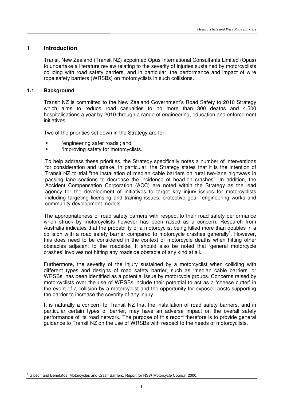#### **1 Introduction**

Transit New Zealand (Transit NZ) appointed Opus International Consultants Limited (Opus) to undertake a literature review relating to the severity of injuries sustained by motorcyclists colliding with road safety barriers, and in particular, the performance and impact of wire rope safety barriers (WRSBs) on motorcyclists in such collisions.

#### **1.1 Background**

l.

Transit NZ is committed to the New Zealand Government's Road Safety to 2010 Strategy which aims to reduce road casualties to no more than 300 deaths and 4,500 hospitalisations a year by 2010 through a range of engineering, education and enforcement initiatives.

Two of the priorities set down in the Strategy are for:

- 'engineering safer roads'; and
- 'improving safety for motorcyclists.'

To help address these priorities, the Strategy specifically notes a number of interventions for consideration and uptake. In particular, the Strategy states that it is the intention of Transit NZ to trial "the installation of median cable barriers on rural two-lane highways in passing lane sections to decrease the incidence of head-on crashes". In addition, the Accident Compensation Corporation (ACC) are noted within the Strategy as the lead agency for the development of initiatives to target key injury issues for motorcyclists including targeting licensing and training issues, protective gear, engineering works and community development models.

The appropriateness of road safety barriers with respect to their road safety performance when struck by motorcyclists however has been raised as a concern. Research from Australia indicates that the probability of a motorcyclist being killed more than doubles in a collision with a road safety barrier compared to motorcycle crashes generally<sup>1</sup>. However, this does need to be considered in the context of motorcycle deaths when hitting other obstacles adjacent to the roadside. It should also be noted that 'general motorcycle crashes' involves not hitting any roadside obstacle of any kind at all.

Furthermore, the severity of the injury sustained by a motorcyclist when colliding with different types and designs of road safety barrier, such as 'median cable barriers' or WRSBs, has been identified as a potential issue by motorcycle groups. Concerns raised by motorcyclists over the use of WRSBs include their potential to act as a 'cheese cutter' in the event of a collision by a motorcyclist and the opportunity for exposed posts supporting the barrier to increase the severity of any injury.

It is naturally a concern to Transit NZ that the installation of road safety barriers, and in particular certain types of barrier, may have an adverse impact on the overall safety performance of its road network. The purpose of this report therefore is to provide general guidance to Transit NZ on the use of WRSBs with respect to the needs of motorcyclists.

<sup>1</sup> Gibson and Benetatos. Motorcycles and Crash Barriers. Report for NSW Motorcycle Council. 2000.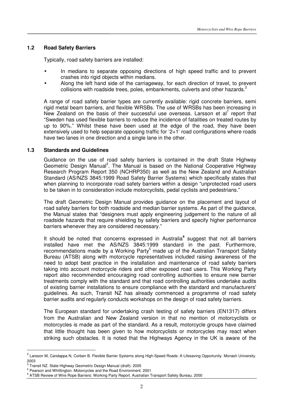#### **1.2 Road Safety Barriers**

Typically, road safety barriers are installed:

- In medians to separate opposing directions of high speed traffic and to prevent crashes into rigid objects within medians.
- Along the left hand side of the carriageway, for each direction of travel, to prevent collisions with roadside trees, poles, embankments, culverts and other hazards.<sup>2</sup>

A range of road safety barrier types are currently available: rigid concrete barriers, semi rigid metal beam barriers, and flexible WRSBs. The use of WRSBs has been increasing in New Zealand on the basis of their successful use overseas. Larsson et al $^7$  report that "Sweden has used flexible barriers to reduce the incidence of fatalities on treated routes by up to 90%." Whilst these have been used at the edge of the road, they have been extensively used to help separate opposing traffic for '2+1' road configurations where roads have two lanes in one direction and a single lane in the other.

#### **1.3 Standards and Guidelines**

Guidance on the use of road safety barriers is contained in the draft State Highway Geometric Design Manual<sup>3</sup>. The Manual is based on the National Cooperative Highway Research Program Report 350 (NCHRP350) as well as the New Zealand and Australian Standard (AS/NZS 3845:1999 Road Safety Barrier Systems) which specifically states that when planning to incorporate road safety barriers within a design "unprotected road users to be taken in to consideration include motorcyclists, pedal cyclists and pedestrians."

The draft Geometric Design Manual provides guidance on the placement and layout of road safety barriers for both roadside and median barrier systems. As part of the guidance, the Manual states that "designers must apply engineering judgement to the nature of all roadside hazards that require shielding by safety barriers and specify higher performance barriers whenever they are considered necessary."

It should be noted that concerns expressed in Australia<sup>4</sup> suggest that not all barriers installed have met the AS/NZS 3845:1999 standard in the past. Furthermore, recommendations made by a Working Party<sup>5</sup> made up of the Australian Transport Safety Bureau (ATSB) along with motorcycle representatives included raising awareness of the need to adopt best practice in the installation and maintenance of road safety barriers taking into account motorcycle riders and other exposed road users. This Working Party report also recommended encouraging road controlling authorities to ensure new barrier treatments comply with the standard and that road controlling authorities undertake audits of existing barrier installations to ensure compliance with the standard and manufacturers' guidelines. As such, Transit NZ has already commenced a programme of road safety barrier audits and regularly conducts workshops on the design of road safety barriers.

The European standard for undertaking crash testing of safety barriers (EN1317) differs from the Australian and New Zealand version in that no mention of motorcyclists or motorcycles is made as part of the standard. As a result, motorcycle groups have claimed that little thought has been given to how motorcyclists or motorcycles may react when striking such obstacles. It is noted that the Highways Agency in the UK is aware of the

<sup>&</sup>lt;sup>2</sup> Larsson M, Candappa N, Corben B. Flexible Barrier Systems along High-Speed Roads: A Lifesaving Opportunity. Monash University. 2003

<sup>&</sup>lt;sup>3</sup> Transit NZ. State Highway Geometric Design Manual (draft). 2005

<sup>4</sup> Pearson and Whittington. Motorcycles and the Road Environment. 2001

<sup>&</sup>lt;sup>5</sup> ATSB Review of Wire Rope Barriers: Working Party Report. Australian Transport Safety Bureau. 2000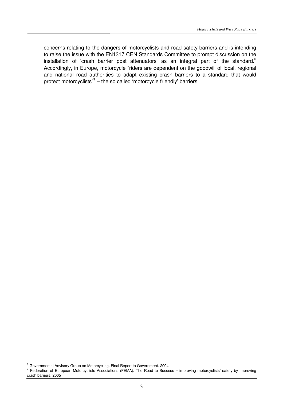concerns relating to the dangers of motorcyclists and road safety barriers and is intending to raise the issue with the EN1317 CEN Standards Committee to prompt discussion on the installation of 'crash barrier post attenuators' as an integral part of the standard.**<sup>6</sup>** Accordingly, in Europe, motorcycle "riders are dependent on the goodwill of local, regional and national road authorities to adapt existing crash barriers to a standard that would protect motorcyclists"**<sup>7</sup>** – the so called 'motorcycle friendly' barriers.

<sup>&</sup>lt;sup>6</sup> Governmental Advisory Group on Motorcycling. Final Report to Government. 2004

<sup>&</sup>lt;sup>7</sup> Federation of European Motorcyclists Associations (FEMA). The Road to Success – improving motorcyclists' safety by improving crash barriers. 2005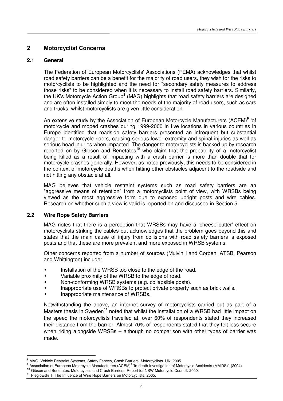# **2 Motorcyclist Concerns**

#### **2.1 General**

The Federation of European Motorcyclists' Associations (FEMA) acknowledges that whilst road safety barriers can be a benefit for the majority of road users, they wish for the risks to motorcyclists to be highlighted and the need for "secondary safety measures to address those risks" to be considered when it is necessary to install road safety barriers. Similarly, the UK's Motorcycle Action Group**<sup>8</sup>** (MAG) highlights that road safety barriers are designed and are often installed simply to meet the needs of the majority of road users, such as cars and trucks, whilst motorcyclists are given little consideration.

An extensive study by the Association of European Motorcycle Manufacturers (ACEM)**<sup>9</sup>** 'of motorcycle and moped crashes during 1999-2000 in five locations in various countries in Europe identified that roadside safety barriers presented an infrequent but substantial danger to motorcycle riders, causing serious lower extremity and spinal injuries as well as serious head injuries when impacted. The danger to motorcyclists is backed up by research reported on by Gibson and Benetatos<sup>10</sup> who claim that the probability of a motorcyclist being killed as a result of impacting with a crash barrier is more than double that for motorcycle crashes generally. However, as noted previously, this needs to be considered in the context of motorcycle deaths when hitting other obstacles adjacent to the roadside and not hitting any obstacle at all.

MAG believes that vehicle restraint systems such as road safety barriers are an "aggressive means of retention" from a motorcyclists point of view, with WRSBs being viewed as the most aggressive form due to exposed upright posts and wire cables. Research on whether such a view is valid is reported on and discussed in Section 5.

#### **2.2 Wire Rope Safety Barriers**

 $\overline{a}$ 

MAG notes that there is a perception that WRSBs may have a 'cheese cutter' effect on motorcyclists striking the cables but acknowledges that the problem goes beyond this and states that the main cause of injury from collisions with road safety barriers is exposed posts and that these are more prevalent and more exposed in WRSB systems.

Other concerns reported from a number of sources (Mulvihill and Corben, ATSB, Pearson and Whittington) include:

- Installation of the WRSB too close to the edge of the road.
- Variable proximity of the WRSB to the edge of road.
- Non-conforming WRSB systems (e.g. collapsible posts).
- Inappropriate use of WRSBs to protect private property such as brick walls.
- Inappropriate maintenance of WRSBs.

Notwithstanding the above, an internet survey of motorcyclists carried out as part of a Masters thesis in Sweden<sup>11</sup> noted that whilst the installation of a WRSB had little impact on the speed the motorcyclists travelled at, over 60% of respondents stated they increased their distance from the barrier. Almost 70% of respondents stated that they felt less secure when riding alongside WRSBs – although no comparison with other types of barrier was made.

<sup>&</sup>lt;sup>8</sup> MAG. Vehicle Restraint Systems, Safety Fences, Crash Barriers, Motorcyclists. UK. 2005

<sup>&</sup>lt;sup>9</sup> Association of European Motorcycle Manufacturers (ACEM)<sup>9</sup> 'In-depth Investigation of Motorcycle Accidents (MAIDS)'. (2004)

<sup>&</sup>lt;sup>10</sup> Gibson and Benetatos. Motorcycles and Crash Barriers. Report for NSW Motorcycle Council. 2000.

<sup>&</sup>lt;sup>11</sup> Pieglowski T. The Influence of Wire Rope Barriers on Motorcyclists. 2005.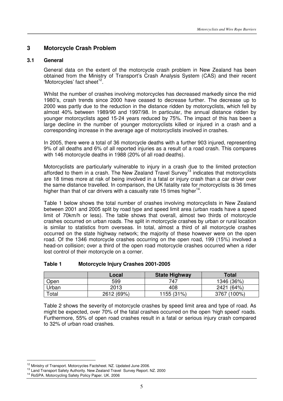# **3 Motorcycle Crash Problem**

#### **3.1 General**

General data on the extent of the motorcycle crash problem in New Zealand has been obtained from the Ministry of Transport's Crash Analysis System (CAS) and their recent 'Motorcycles' fact sheet<sup>12</sup>.

Whilst the number of crashes involving motorcycles has decreased markedly since the mid 1980's, crash trends since 2000 have ceased to decrease further. The decrease up to 2000 was partly due to the reduction in the distance ridden by motorcyclists, which fell by almost 40% between 1989/90 and 1997/98. In particular, the annual distance ridden by younger motorcyclists aged 15-24 years reduced by 75%. The impact of this has been a large decline in the number of younger motorcyclists killed or injured in a crash and a corresponding increase in the average age of motorcyclists involved in crashes.

In 2005, there were a total of 36 motorcycle deaths with a further 903 injured, representing 9% of all deaths and 6% of all reported injuries as a result of a road crash. This compares with 146 motorcycle deaths in 1988 (20% of all road deaths).

Motorcyclists are particularly vulnerable to injury in a crash due to the limited protection afforded to them in a crash. The New Zealand Travel Survey<sup>13</sup> indicates that motorcyclists are 18 times more at risk of being involved in a fatal or injury crash than a car driver over the same distance travelled. In comparison, the UK fatality rate for motorcyclists is 36 times higher than that of car drivers with a casualty rate 15 times higher $14$ .

Table 1 below shows the total number of crashes involving motorcyclists in New Zealand between 2001 and 2005 split by road type and speed limit area (urban roads have a speed limit of 70km/h or less). The table shows that overall, almost two thirds of motorcycle crashes occurred on urban roads. The split in motorcycle crashes by urban or rural location is similar to statistics from overseas. In total, almost a third of all motorcycle crashes occurred on the state highway network; the majority of these however were on the open road. Of the 1346 motorcycle crashes occurring on the open road, 199 (15%) involved a head-on collision; over a third of the open road motorcycle crashes occurred when a rider lost control of their motorcycle on a corner.

|      | Local | <b>State Highway</b> | Total      |
|------|-------|----------------------|------------|
| Open | 599   | 747                  | 1346 (36%) |

#### **Table 1 Motorcycle Injury Crashes 2001-2005**

Table 2 shows the severity of motorcycle crashes by speed limit area and type of road. As might be expected, over 70% of the fatal crashes occurred on the open 'high speed' roads. Furthermore, 55% of open road crashes result in a fatal or serious injury crash compared to 32% of urban road crashes.

Urban | 2013 108 408 2421 (64%) Total 2612 (69%) 1155 (31%) 3767 (100%)

<sup>&</sup>lt;sup>12</sup> Ministry of Transport. Motorcycles Factsheet. NZ. Updated June 2006.

<sup>&</sup>lt;sup>13</sup> Land Transport Safety Authority. New Zealand Travel Survey Report. NZ. 2000

<sup>14</sup> RoSPA. Motorcycling Safety Policy Paper. UK. 2006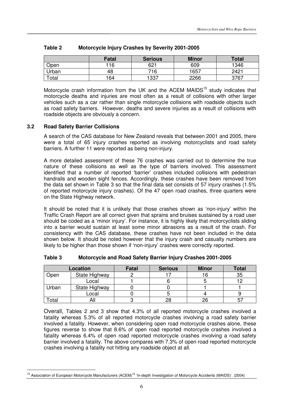|       | <b>Fatal</b> | <b>Serious</b> | <b>Minor</b> | <b>Total</b> |
|-------|--------------|----------------|--------------|--------------|
| Open  | 116          | 621            | 609          | 1346         |
| Urban | 48           | 716            | 1657         | 2421         |
| Total | 164          | 1337           | 2266         | 3767         |

#### **Table 2 Motorcycle Injury Crashes by Severity 2001-2005**

Motorcycle crash information from the UK and the ACEM MAIDS<sup>15</sup> study indicates that motorcycle deaths and injuries are most often as a result of collisions with other larger vehicles such as a car rather than single motorcycle collisions with roadside objects such as road safety barriers. However, deaths and severe injuries as a result of collisions with roadside objects are obviously a concern.

#### **3.2 Road Safety Barrier Collisions**

l.

A search of the CAS database for New Zealand reveals that between 2001 and 2005, there were a total of 65 injury crashes reported as involving motorcyclists and road safety barriers. A further 11 were reported as being non-injury.

A more detailed assessment of these 76 crashes was carried out to determine the true nature of these collisions as well as the type of barriers involved. This assessment identified that a number of reported 'barrier' crashes included collisions with pedestrian handrails and wooden sight fences. Accordingly, these crashes have been removed from the data set shown in Table 3 so that the final data set consists of 57 injury crashes (1.5% of reported motorcycle injury crashes). Of the 47 open road crashes, three quarters were on the State Highway network.

It should be noted that it is unlikely that those crashes shown as 'non-injury' within the Traffic Crash Report are all correct given that sprains and bruises sustained by a road user should be coded as a 'minor injury'. For instance, it is highly likely that motorcyclists sliding into a barrier would sustain at least some minor abrasions as a result of the crash. For consistency with the CAS database, these crashes have not been included in the data shown below. It should be noted however that the injury crash and casualty numbers are likely to be higher than those shown if 'non-injury' crashes were correctly reported.

|       | Location      | <b>Fatal</b> | <b>Serious</b> | <b>Minor</b> | <b>Total</b> |
|-------|---------------|--------------|----------------|--------------|--------------|
| Open  | State Highway |              |                |              | 35           |
|       | Local         |              |                |              |              |
| Urban | State Highway |              |                |              |              |
|       | Local         |              |                |              |              |
| 'otal |               |              | 28             | 26           |              |

#### **Table 3 Motorcycle and Road Safety Barrier Injury Crashes 2001-2005**

Overall, Tables 2 and 3 show that 4.3% of all reported motorcycle crashes involved a fatality whereas 5.3% of all reported motorcycle crashes involving a road safety barrier involved a fatality. However, when considering open road motorcycle crashes alone, these figures reverse to show that 8.6% of open road reported motorcycle crashes involved a fatality whereas 6.4% of open road reported motorcycle crashes involving a road safety barrier involved a fatality. The above compares with 7.3% of open road reported motorcycle crashes involving a fatality not hitting any roadside object at all.

<sup>&</sup>lt;sup>15</sup> Association of European Motorcycle Manufacturers (ACEM)<sup>15</sup> 'In-depth Investigation of Motorcycle Accidents (MAIDS)'. (2004)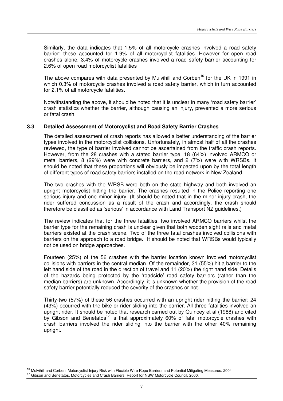Similarly, the data indicates that 1.5% of all motorcycle crashes involved a road safety barrier; these accounted for 1.9% of all motorcyclist fatalities. However for open road crashes alone, 3.4% of motorcycle crashes involved a road safety barrier accounting for 2.6% of open road motorcyclist fatalities

The above compares with data presented by Mulvihill and Corben<sup>16</sup> for the UK in 1991 in which 0.3% of motorcycle crashes involved a road safety barrier, which in turn accounted for 2.1% of all motorcycle fatalities.

Notwithstanding the above, it should be noted that it is unclear in many 'road safety barrier' crash statistics whether the barrier, although causing an injury, prevented a more serious or fatal crash.

#### **3.3 Detailed Assessment of Motorcyclist and Road Safety Barrier Crashes**

The detailed assessment of crash reports has allowed a better understanding of the barrier types involved in the motorcyclist collisions. Unfortunately, in almost half of all the crashes reviewed, the type of barrier involved cannot be ascertained from the traffic crash reports. However, from the 28 crashes with a stated barrier type, 18 (64%) involved ARMCO or metal barriers, 8 (29%) were with concrete barriers, and 2 (7%) were with WRSBs. It should be noted that these proportions will obviously be impacted upon by the total length of different types of road safety barriers installed on the road network in New Zealand.

The two crashes with the WRSB were both on the state highway and both involved an upright motorcyclist hitting the barrier. The crashes resulted in the Police reporting one serious injury and one minor injury. (It should be noted that in the minor injury crash, the rider suffered concussion as a result of the crash and accordingly, the crash should therefore be classified as 'serious' in accordance with Land Transport NZ guidelines.)

The review indicates that for the three fatalities, two involved ARMCO barriers whilst the barrier type for the remaining crash is unclear given that both wooden sight rails and metal barriers existed at the crash scene. Two of the three fatal crashes involved collisions with barriers on the approach to a road bridge. It should be noted that WRSBs would typically not be used on bridge approaches.

Fourteen (25%) of the 56 crashes with the barrier location known involved motorcyclist collisions with barriers in the central median. Of the remainder, 31 (55%) hit a barrier to the left hand side of the road in the direction of travel and 11 (20%) the right hand side. Details of the hazards being protected by the 'roadside' road safety barriers (rather than the median barriers) are unknown. Accordingly, it is unknown whether the provision of the road safety barrier potentially reduced the severity of the crashes or not.

Thirty-two (57%) of these 56 crashes occurred with an upright rider hitting the barrier; 24 (43%) occurred with the bike or rider sliding into the barrier. All three fatalities involved an upright rider. It should be noted that research carried out by Quincey et al (1988) and cited by Gibson and Benetatos<sup>17</sup> is that approximately 60% of fatal motorcycle crashes with crash barriers involved the rider sliding into the barrier with the other 40% remaining upright.

l.

<sup>&</sup>lt;sup>16</sup> Mulvihill and Corben. Motorcyclist Injury Risk with Flexible Wire Rope Barriers and Potential Mitigating Measures. 2004

<sup>&</sup>lt;sup>17</sup> Gibson and Benetatos. Motorcycles and Crash Barriers. Report for NSW Motorcycle Council. 2000.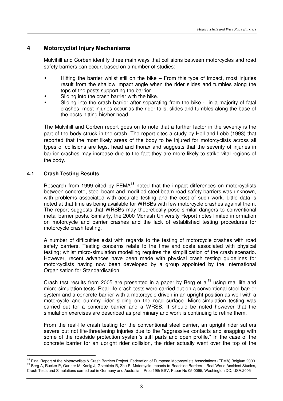# **4 Motorcyclist Injury Mechanisms**

Mulvihill and Corben identify three main ways that collisions between motorcycles and road safety barriers can occur, based on a number of studies:

- Hitting the barrier whilst still on the bike  $-$  From this type of impact, most injuries result from the shallow impact angle when the rider slides and tumbles along the tops of the posts supporting the barrier.
- Sliding into the crash barrier with the bike.
- Sliding into the crash barrier after separating from the bike in a majority of fatal crashes, most injuries occur as the rider falls, slides and tumbles along the base of the posts hitting his/her head.

The Mulvihill and Corben report goes on to note that a further factor in the severity is the part of the body struck in the crash. The report cites a study by Hell and Lobb (1993) that reported that the most likely areas of the body to be injured for motorcyclists across all types of collisions are legs, head and thorax and suggests that the severity of injuries in barrier crashes may increase due to the fact they are more likely to strike vital regions of the body.

#### **4.1 Crash Testing Results**

 $\overline{a}$ 

Research from 1999 cited by FEMA<sup>18</sup> noted that the impact differences on motorcyclists between concrete, steel beam and modified steel beam road safety barriers was unknown, with problems associated with accurate testing and the cost of such work. Little data is noted at that time as being available for WRSBs with few motorcycle crashes against them. The report suggests that WRSBs may theoretically pose similar dangers to conventional metal barrier posts. Similarly, the 2000 Monash University Report notes limited information on motorcycle and barrier crashes and the lack of established testing procedures for motorcycle crash testing.

A number of difficulties exist with regards to the testing of motorcycle crashes with road safety barriers. Testing concerns relate to the time and costs associated with physical testing; whilst micro-simulation modelling requires the simplification of the crash scenario. However, recent advances have been made with physical crash testing guidelines for motorcyclists having now been developed by a group appointed by the International Organisation for Standardisation.

Crash test results from 2005 are presented in a paper by Berg et al<sup>19</sup> using real life and micro-simulation tests. Real-life crash tests were carried out on a conventional steel barrier system and a concrete barrier with a motorcycle driven in an upright position as well with a motorcycle and dummy rider sliding on the road surface. Micro-simulation testing was carried out for a concrete barrier and a WRSB. It should be noted however that the simulation exercises are described as preliminary and work is continuing to refine them.

From the real-life crash testing for the conventional steel barrier, an upright rider suffers severe but not life-threatening injuries due to the "aggressive contacts and snagging with some of the roadside protection system's stiff parts and open profile." In the case of the concrete barrier for an upright rider collision, the rider actually went over the top of the

<sup>&</sup>lt;sup>18</sup> Final Report of the Motorcyclists & Crash Barriers Project. Federation of European Motorcyclists Associations (FEMA).Belgium 2000 <sup>19</sup> Berg A, Rucker P, Gartner M, Konig J, Grzebieta R, Zou R. Motorcycle Impacts to Roadside Barriers – Real World Accident Studies, Crash Tests and Simulations carried out in Germany and Australia.. Proc 19th ESV, Paper No 05-0095, Washington DC, USA.2005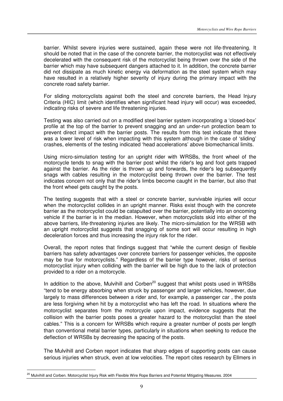barrier. Whilst severe injuries were sustained, again these were not life-threatening. It should be noted that in the case of the concrete barrier, the motorcyclist was not effectively decelerated with the consequent risk of the motorcyclist being thrown over the side of the barrier which may have subsequent dangers attached to it. In addition, the concrete barrier did not dissipate as much kinetic energy via deformation as the steel system which may have resulted in a relatively higher severity of injury during the primary impact with the concrete road safety barrier.

For sliding motorcyclists against both the steel and concrete barriers, the Head Injury Criteria (HIC) limit (which identifies when significant head injury will occur) was exceeded, indicating risks of severe and life threatening injuries.

Testing was also carried out on a modified steel barrier system incorporating a 'closed-box' profile at the top of the barrier to prevent snagging and an under-run protection beam to prevent direct impact with the barrier posts. The results from this test indicate that there was a lower level of risk when impacting with this system although in the case of 'sliding' crashes, elements of the testing indicated 'head accelerations' above biomechanical limits.

Using micro-simulation testing for an upright rider with WRSBs, the front wheel of the motorcycle tends to snag with the barrier post whilst the rider's leg and foot gets trapped against the barrier. As the rider is thrown up and forwards, the rider's leg subsequently snags with cables resulting in the motorcyclist being thrown over the barrier. The test indicates concern not only that the rider's limbs become caught in the barrier, but also that the front wheel gets caught by the posts.

The testing suggests that with a steel or concrete barrier, survivable injuries will occur when the motorcyclist collides in an upright manner. Risks exist though with the concrete barrier as the motorcyclist could be catapulted over the barrier, potentially into an oncoming vehicle if the barrier is in the median. However, when motorcyclists skid into either of the above barriers, life-threatening injuries are likely. The micro-simulation for the WRSB with an upright motorcyclist suggests that snagging of some sort will occur resulting in high deceleration forces and thus increasing the injury risk for the rider.

Overall, the report notes that findings suggest that "while the current design of flexible barriers has safety advantages over concrete barriers for passenger vehicles, the opposite may be true for motorcyclists." Regardless of the barrier type however, risks of serious motorcyclist injury when colliding with the barrier will be high due to the lack of protection provided to a rider on a motorcycle.

In addition to the above, Mulvihill and Corben<sup>20</sup> suggest that whilst posts used in WRSBs "tend to be energy absorbing when struck by passenger and larger vehicles, however, due largely to mass differences between a rider and, for example, a passenger car , the posts are less forgiving when hit by a motorcyclist who has left the road. In situations where the motorcyclist separates from the motorcycle upon impact, evidence suggests that the collision with the barrier posts poses a greater hazard to the motorcyclist than the steel cables." This is a concern for WRSBs which require a greater number of posts per length than conventional metal barrier types, particularly in situations when seeking to reduce the deflection of WRSBs by decreasing the spacing of the posts.

The Mulvihill and Corben report indicates that sharp edges of supporting posts can cause serious injuries when struck, even at low velocities. The report cites research by Ellmers in

l.

<sup>&</sup>lt;sup>20</sup> Mulvihill and Corben. Motorcyclist Injury Risk with Flexible Wire Rope Barriers and Potential Mitigating Measures. 2004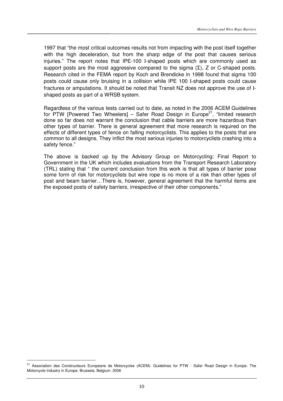1997 that "the most critical outcomes results not from impacting with the post itself together with the high deceleration, but from the sharp edge of the post that causes serious injuries." The report notes that IPE-100 I-shaped posts which are commonly used as support posts are the most aggressive compared to the sigma  $(\Sigma)$ , Z or C-shaped posts. Research cited in the FEMA report by Koch and Brendicke in 1998 found that sigma 100 posts could cause only bruising in a collision while IPE 100 I-shaped posts could cause fractures or amputations. It should be noted that Transit NZ does not approve the use of Ishaped posts as part of a WRSB system.

Regardless of the various tests carried out to date, as noted in the 2006 ACEM Guidelines for PTW [Powered Two Wheelers] – Safer Road Design in Europe<sup>21</sup>, "limited research done so far does not warrant the conclusion that cable barriers are more hazardous than other types of barrier. There is general agreement that more research is required on the effects of different types of fence on falling motorcyclists. This applies to the posts that are common to all designs. They inflict the most serious injuries to motorcyclists crashing into a safety fence."

The above is backed up by the Advisory Group on Motorcycling: Final Report to Government in the UK which includes evaluations from the Transport Research Laboratory (TRL) stating that " the current conclusion from this work is that all types of barrier pose some form of risk for motorcyclists but wire rope is no more of a risk than other types of post and beam barrier…There is, however, general agreement that the harmful items are the exposed posts of safety barriers, irrespective of their other components."

<sup>&</sup>lt;sup>21</sup> Association des Constructeurs Europeans de Motorcycles (ACEM). Guidelines for PTW - Safer Road Design in Europe. The Motorcycle Industry in Europe. Brussels, Belgium. 2006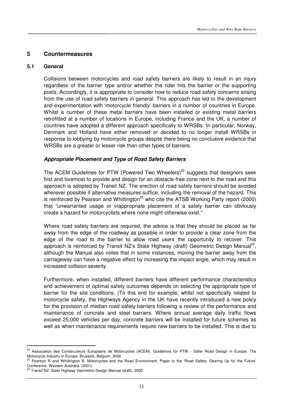# **5 Countermeasures**

#### **5.1 General**

Collisions between motorcycles and road safety barriers are likely to result in an injury regardless of the barrier type and/or whether the rider hits the barrier or the supporting posts. Accordingly, it is appropriate to consider how to reduce road safety concerns arising from the use of road safety barriers in general. This approach has led to the development and experimentation with 'motorcycle friendly' barriers in a number of countries in Europe. Whilst a number of these metal barriers have been installed or existing metal barriers retrofitted at a number of locations in Europe, including France and the UK, a number of countries have adopted a different approach specifically to WRSBs. In particular, Norway, Denmark and Holland have either removed or decided to no longer install WRSBs in response to lobbying by motorcycle groups despite there being no conclusive evidence that WRSBs are a greater or lesser risk than other types of barriers.

#### **Appropriate Placement and Type of Road Safety Barriers**

The ACEM Guidelines for PTW (Powered Two Wheelers)<sup>22</sup> suggests that designers seek first and foremost to provide and design for an obstacle-free zone next to the road and this approach is adopted by Transit NZ. The erection of road safety barriers should be avoided wherever possible if alternative measures suffice, including the removal of the hazard. This is reinforced by Pearson and Whittington<sup>23</sup> who cite the ATSB Working Party report (2000) that "unwarranted usage or inappropriate placement of a safety barrier can obviously create a hazard for motorcyclists where none might otherwise exist."

Where road safety barriers are required, the advice is that they should be placed as far away from the edge of the roadway as possible in order to provide a clear zone from the edge of the road to the barrier to allow road users the opportunity to recover. This approach is reinforced by Transit NZ's State Highway (draft) Geometric Design Manual<sup>24</sup>, although the Manual also notes that in some instances, moving the barrier away from the carriageway can have a negative effect by increasing the impact angle, which may result in increased collision severity.

Furthermore, when installed, different barriers have different performance characteristics and achievement of optimal safety outcomes depends on selecting the appropriate type of barrier for the site conditions. (To this end for example, whilst not specifically related to motorcycle safety, the Highways Agency in the UK have recently introduced a new policy for the provision of median road safety barriers following a review of the performance and maintenance of concrete and steel barriers. Where annual average daily traffic flows exceed 25,000 vehicles per day, concrete barriers will be installed for future schemes as well as when maintenance requirements require new barriers to be installed. This is due to

l.

<sup>&</sup>lt;sup>22</sup> Association des Constructeurs Europeans de Motorcycles (ACEM). Guidelines for PTW - Safer Road Design in Europe. The Motorcycle Industry in Europe. Brussels, Belgium. 2006

<sup>23</sup> Pearson R and Whittington B. Motorcycles and the Road Environment. Paper to the 'Road Safety: Gearing Up for the Future' Conference. Western Australia. (2001)

<sup>&</sup>lt;sup>24</sup> Transit NZ. State Highway Geometric Design Manual (draft). 2005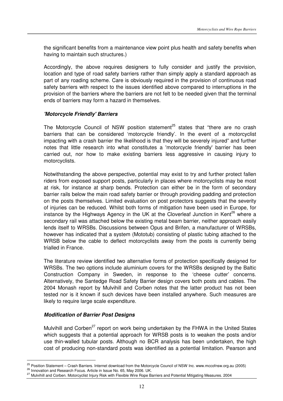the significant benefits from a maintenance view point plus health and safety benefits when having to maintain such structures.)

Accordingly, the above requires designers to fully consider and justify the provision, location and type of road safety barriers rather than simply apply a standard approach as part of any roading scheme. Care is obviously required in the provision of continuous road safety barriers with respect to the issues identified above compared to interruptions in the provision of the barriers where the barriers are not felt to be needed given that the terminal ends of barriers may form a hazard in themselves.

#### **'Motorcycle Friendly' Barriers**

The Motorcycle Council of NSW position statement<sup>25</sup> states that "there are no crash" barriers that can be considered 'motorcycle friendly'. In the event of a motorcyclist impacting with a crash barrier the likelihood is that they will be severely injured" and further notes that little research into what constitutes a 'motorcycle friendly' barrier has been carried out, nor how to make existing barriers less aggressive in causing injury to motorcyclists.

Notwithstanding the above perspective, potential may exist to try and further protect fallen riders from exposed support posts, particularly in places where motorcyclists may be most at risk, for instance at sharp bends. Protection can either be in the form of secondary barrier rails below the main road safety barrier or through providing padding and protection on the posts themselves. Limited evaluation on post protectors suggests that the severity of injuries can be reduced. Whilst both forms of mitigation have been used in Europe, for instance by the Highways Agency in the UK at the Cloverleaf Junction in Kent<sup>26</sup> where a secondary rail was attached below the existing metal beam barrier, neither approach easily lends itself to WRSBs. Discussions between Opus and Brifen, a manufacturer of WRSBs, however has indicated that a system (Mototub) consisting of plastic tubing attached to the WRSB below the cable to deflect motorcyclists away from the posts is currently being trialled in France.

The literature review identified two alternative forms of protection specifically designed for WRSBs. The two options include aluminium covers for the WRSBs designed by the Baltic Construction Company in Sweden, in response to the 'cheese cutter' concerns. Alternatively, the Santedge Road Safety Barrier design covers both posts and cables. The 2004 Monash report by Mulvihill and Corben notes that the latter product has not been tested nor is it known if such devices have been installed anywhere. Such measures are likely to require large scale expenditure.

### **Modification of Barrier Post Designs**

Mulvihill and Corben<sup>27</sup> report on work being undertaken by the FHWA in the United States which suggests that a potential approach for WRSB posts is to weaken the posts and/or use thin-walled tubular posts. Although no BCR analysis has been undertaken, the high cost of producing non-standard posts was identified as a potential limitation. Pearson and

<sup>&</sup>lt;sup>25</sup> Position Statement – Crash Barriers. Internet download from the Motorcycle Council of NSW Inc. www.mccofnsw.org.au (2005)

<sup>&</sup>lt;sup>26</sup> Innovation and Research Focus. Article in Issue No. 65, May 2006. UK.

<sup>&</sup>lt;sup>27</sup> Mulvihill and Corben. Motorcyclist Injury Risk with Flexible Wire Rope Barriers and Potential Mitigating Measures. 2004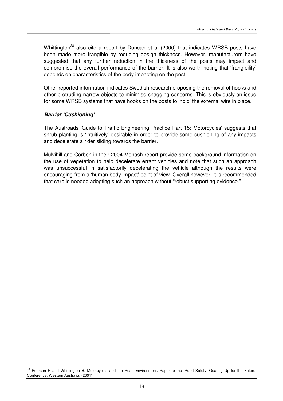Whittington<sup>28</sup> also cite a report by Duncan et al (2000) that indicates WRSB posts have been made more frangible by reducing design thickness. However, manufacturers have suggested that any further reduction in the thickness of the posts may impact and compromise the overall performance of the barrier. It is also worth noting that 'frangibility' depends on characteristics of the body impacting on the post.

Other reported information indicates Swedish research proposing the removal of hooks and other protruding narrow objects to minimise snagging concerns. This is obviously an issue for some WRSB systems that have hooks on the posts to 'hold' the external wire in place.

#### **Barrier 'Cushioning'**

l.

The Austroads 'Guide to Traffic Engineering Practice Part 15: Motorcycles' suggests that shrub planting is 'intuitively' desirable in order to provide some cushioning of any impacts and decelerate a rider sliding towards the barrier.

Mulvihill and Corben in their 2004 Monash report provide some background information on the use of vegetation to help decelerate errant vehicles and note that such an approach was unsuccessful in satisfactorily decelerating the vehicle although the results were encouraging from a 'human body impact' point of view. Overall however, it is recommended that care is needed adopting such an approach without "robust supporting evidence."

<sup>&</sup>lt;sup>28</sup> Pearson R and Whittington B. Motorcycles and the Road Environment. Paper to the 'Road Safety: Gearing Up for the Future' Conference. Western Australia. (2001)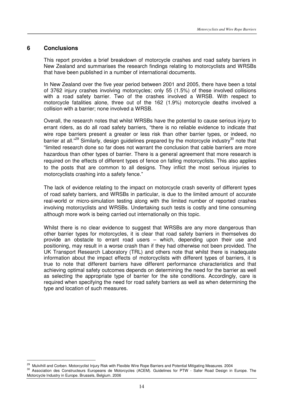#### **6 Conclusions**

 $\overline{a}$ 

This report provides a brief breakdown of motorcycle crashes and road safety barriers in New Zealand and summarises the research findings relating to motorcyclists and WRSBs that have been published in a number of international documents.

In New Zealand over the five year period between 2001 and 2005, there have been a total of 3762 injury crashes involving motorcycles; only 55 (1.5%) of these involved collisions with a road safety barrier. Two of the crashes involved a WRSB. With respect to motorcycle fatalities alone, three out of the 162 (1.9%) motorcycle deaths involved a collision with a barrier; none involved a WRSB.

Overall, the research notes that whilst WRSBs have the potential to cause serious injury to errant riders, as do all road safety barriers, "there is no reliable evidence to indicate that wire rope barriers present a greater or less risk than other barrier types, or indeed, no barrier at all."<sup>29</sup> Similarly, design guidelines prepared by the motorcycle industry<sup>30</sup> note that "limited research done so far does not warrant the conclusion that cable barriers are more hazardous than other types of barrier. There is a general agreement that more research is required on the effects of different types of fence on falling motorcyclists. This also applies to the posts that are common to all designs. They inflict the most serious injuries to motorcyclists crashing into a safety fence."

The lack of evidence relating to the impact on motorcycle crash severity of different types of road safety barriers, and WRSBs in particular, is due to the limited amount of accurate real-world or micro-simulation testing along with the limited number of reported crashes involving motorcyclists and WRSBs. Undertaking such tests is costly and time consuming although more work is being carried out internationally on this topic.

Whilst there is no clear evidence to suggest that WRSBs are any more dangerous than other barrier types for motorcycles, it is clear that road safety barriers in themselves do provide an obstacle to errant road users – which, depending upon their use and positioning, may result in a worse crash than if they had otherwise not been provided. The UK Transport Research Laboratory (TRL) and others note that whilst there is inadequate information about the impact effects of motorcyclists with different types of barriers, it is true to note that different barriers have different performance characteristics and that achieving optimal safety outcomes depends on determining the need for the barrier as well as selecting the appropriate type of barrier for the site conditions. Accordingly, care is required when specifying the need for road safety barriers as well as when determining the type and location of such measures.

<sup>&</sup>lt;sup>29</sup> Mulvihill and Corben. Motorcyclist Injury Risk with Flexible Wire Rope Barriers and Potential Mitigating Measures. 2004

<sup>&</sup>lt;sup>30</sup> Association des Constructeurs Europeans de Motorcycles (ACEM). Guidelines for PTW - Safer Road Design in Europe. The Motorcycle Industry in Europe. Brussels, Belgium. 2006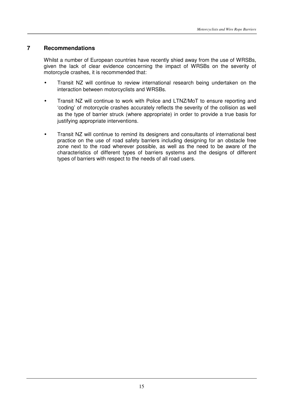#### **7 Recommendations**

Whilst a number of European countries have recently shied away from the use of WRSBs, given the lack of clear evidence concerning the impact of WRSBs on the severity of motorcycle crashes, it is recommended that:

- Transit NZ will continue to review international research being undertaken on the interaction between motorcyclists and WRSBs.
- Transit NZ will continue to work with Police and LTNZ/MoT to ensure reporting and 'coding' of motorcycle crashes accurately reflects the severity of the collision as well as the type of barrier struck (where appropriate) in order to provide a true basis for justifying appropriate interventions.
- Transit NZ will continue to remind its designers and consultants of international best practice on the use of road safety barriers including designing for an obstacle free zone next to the road wherever possible, as well as the need to be aware of the characteristics of different types of barriers systems and the designs of different types of barriers with respect to the needs of all road users.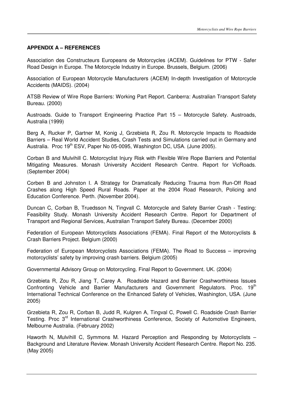#### **APPENDIX A – REFERENCES**

Association des Constructeurs Europeans de Motorcycles (ACEM). Guidelines for PTW - Safer Road Design in Europe. The Motorcycle Industry in Europe. Brussels, Belgium. (2006)

Association of European Motorcycle Manufacturers (ACEM) In-depth Investigation of Motorcycle Accidents (MAIDS). (2004)

ATSB Review of Wire Rope Barriers: Working Part Report. Canberra: Australian Transport Safety Bureau. (2000)

Austroads. Guide to Transport Engineering Practice Part 15 – Motorcycle Safety. Austroads, Australia (1999)

Berg A, Rucker P, Gartner M, Konig J, Grzebieta R, Zou R. Motorcycle Impacts to Roadside Barriers – Real World Accident Studies, Crash Tests and Simulations carried out in Germany and Australia. Proc 19<sup>th</sup> ESV, Paper No 05-0095, Washington DC, USA. (June 2005).

Corban B and Mulvihill C. Motorcyclist Injury Risk with Flexible Wire Rope Barriers and Potential Mitigating Measures. Monash University Accident Research Centre. Report for VicRoads. (September 2004)

Corben B and Johnston I. A Strategy for Dramatically Reducing Trauma from Run-Off Road Crashes along High Speed Rural Roads. Paper at the 2004 Road Research, Policing and Education Conference. Perth. (November 2004).

Duncan C, Corban B, Truedsson N, Tingvall C. Motorcycle and Safety Barrier Crash - Testing: Feasibility Study. Monash University Accident Research Centre. Report for Department of Transport and Regional Services, Australian Transport Safety Bureau. (December 2000)

Federation of European Motorcyclists Associations (FEMA). Final Report of the Motorcyclists & Crash Barriers Project. Belgium (2000)

Federation of European Motorcyclists Associations (FEMA). The Road to Success – improving motorcyclists' safety by improving crash barriers. Belgium (2005)

Governmental Advisory Group on Motorcycling. Final Report to Government. UK. (2004)

Grzebieta R, Zou R, Jiang T, Carey A. Roadside Hazard and Barrier Crashworthiness Issues Confronting Vehicle and Barrier Manufacturers and Government Regulators. Proc.  $19<sup>th</sup>$ International Technical Conference on the Enhanced Safety of Vehicles, Washington, USA. (June 2005)

Grzebieta R, Zou R, Corban B, Judd R, Kulgren A, Tingval C, Powell C. Roadside Crash Barrier Testing. Proc 3<sup>rd</sup> International Crashworthiness Conference, Society of Automotive Engineers, Melbourne Australia. (February 2002)

Haworth N, Mulvihill C, Symmons M. Hazard Perception and Responding by Motorcyclists – Background and Literature Review. Monash University Accident Research Centre. Report No. 235. (May 2005)